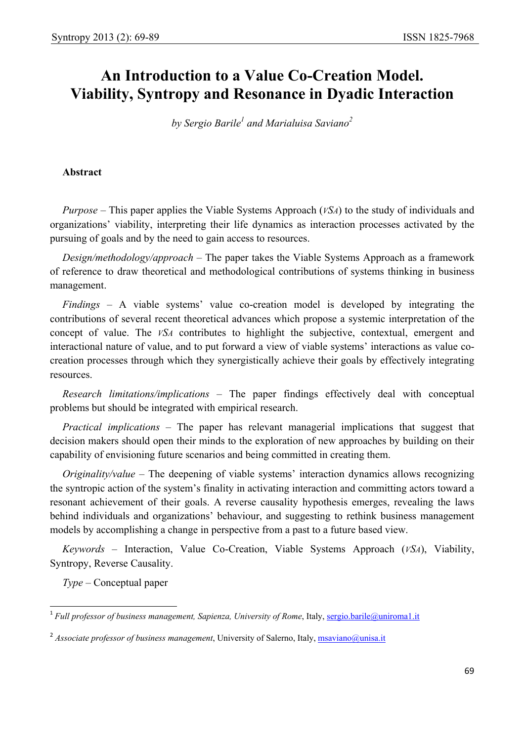# **An Introduction to a Value Co-Creation Model. Viability, Syntropy and Resonance in Dyadic Interaction**

 $by$  Sergio Barile<sup>1</sup> and Marialuisa Saviano<sup>2</sup>

# **Abstract**

*Purpose –* This paper applies the Viable Systems Approach (*VSA*) to the study of individuals and organizations' viability, interpreting their life dynamics as interaction processes activated by the pursuing of goals and by the need to gain access to resources.

*Design/methodology/approach –* The paper takes the Viable Systems Approach as a framework of reference to draw theoretical and methodological contributions of systems thinking in business management.

*Findings –* A viable systems' value co-creation model is developed by integrating the contributions of several recent theoretical advances which propose a systemic interpretation of the concept of value. The *VSA* contributes to highlight the subjective, contextual, emergent and interactional nature of value, and to put forward a view of viable systems' interactions as value cocreation processes through which they synergistically achieve their goals by effectively integrating resources.

*Research limitations/implications –* The paper findings effectively deal with conceptual problems but should be integrated with empirical research.

*Practical implications –* The paper has relevant managerial implications that suggest that decision makers should open their minds to the exploration of new approaches by building on their capability of envisioning future scenarios and being committed in creating them.

*Originality/value – The deepening of viable systems' interaction dynamics allows recognizing* the syntropic action of the system's finality in activating interaction and committing actors toward a resonant achievement of their goals. A reverse causality hypothesis emerges, revealing the laws behind individuals and organizations' behaviour, and suggesting to rethink business management models by accomplishing a change in perspective from a past to a future based view.

*Keywords –* Interaction, Value Co-Creation, Viable Systems Approach (*VSA*), Viability, Syntropy, Reverse Causality.

*Type –* Conceptual paper

l <sup>1</sup> Full professor of business management, Sapienza, University of Rome, Italy, sergio.barile@uniroma1.it

<sup>&</sup>lt;sup>2</sup> Associate professor of business management, University of Salerno, Italy, msaviano@unisa.it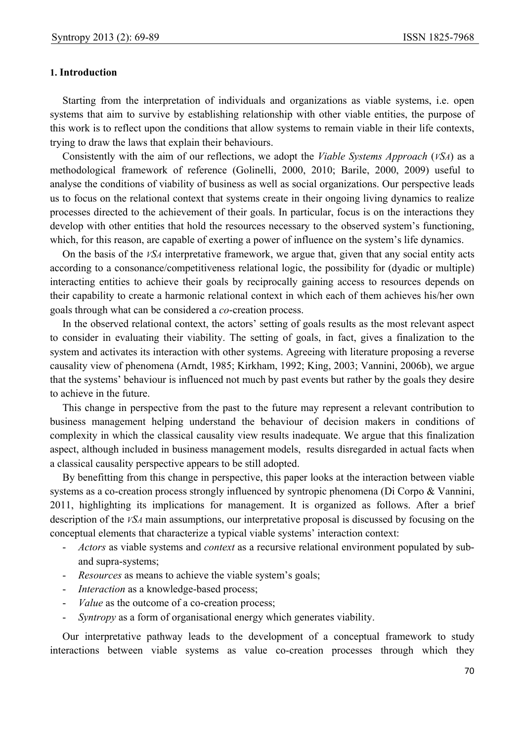## **1. Introduction**

Starting from the interpretation of individuals and organizations as viable systems, i.e. open systems that aim to survive by establishing relationship with other viable entities, the purpose of this work is to reflect upon the conditions that allow systems to remain viable in their life contexts, trying to draw the laws that explain their behaviours.

Consistently with the aim of our reflections, we adopt the *Viable Systems Approach* (*VSA*) as a methodological framework of reference (Golinelli, 2000, 2010; Barile, 2000, 2009) useful to analyse the conditions of viability of business as well as social organizations. Our perspective leads us to focus on the relational context that systems create in their ongoing living dynamics to realize processes directed to the achievement of their goals. In particular, focus is on the interactions they develop with other entities that hold the resources necessary to the observed system's functioning, which, for this reason, are capable of exerting a power of influence on the system's life dynamics.

On the basis of the *VSA* interpretative framework, we argue that, given that any social entity acts according to a consonance/competitiveness relational logic, the possibility for (dyadic or multiple) interacting entities to achieve their goals by reciprocally gaining access to resources depends on their capability to create a harmonic relational context in which each of them achieves his/her own goals through what can be considered a *co*-creation process.

In the observed relational context, the actors' setting of goals results as the most relevant aspect to consider in evaluating their viability. The setting of goals, in fact, gives a finalization to the system and activates its interaction with other systems. Agreeing with literature proposing a reverse causality view of phenomena (Arndt, 1985; Kirkham, 1992; King, 2003; Vannini, 2006b), we argue that the systems' behaviour is influenced not much by past events but rather by the goals they desire to achieve in the future.

This change in perspective from the past to the future may represent a relevant contribution to business management helping understand the behaviour of decision makers in conditions of complexity in which the classical causality view results inadequate. We argue that this finalization aspect, although included in business management models, results disregarded in actual facts when a classical causality perspective appears to be still adopted.

By benefitting from this change in perspective, this paper looks at the interaction between viable systems as a co-creation process strongly influenced by syntropic phenomena (Di Corpo & Vannini, 2011, highlighting its implications for management. It is organized as follows. After a brief description of the *VSA* main assumptions, our interpretative proposal is discussed by focusing on the conceptual elements that characterize a typical viable systems' interaction context:

- *Actors* as viable systems and *context* as a recursive relational environment populated by suband supra-systems;
- *Resources* as means to achieve the viable system's goals;
- *Interaction* as a knowledge-based process;
- *Value* as the outcome of a co-creation process;
- *Syntropy* as a form of organisational energy which generates viability.

Our interpretative pathway leads to the development of a conceptual framework to study interactions between viable systems as value co-creation processes through which they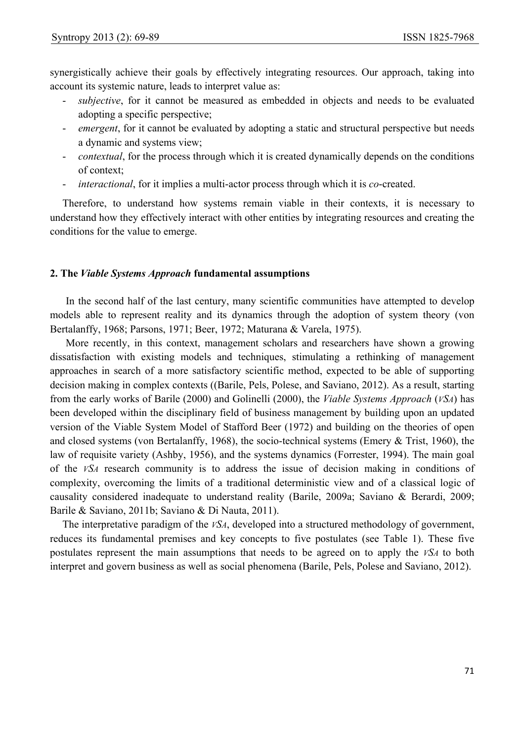synergistically achieve their goals by effectively integrating resources. Our approach, taking into account its systemic nature, leads to interpret value as:

- subjective, for it cannot be measured as embedded in objects and needs to be evaluated adopting a specific perspective;
- *emergent*, for it cannot be evaluated by adopting a static and structural perspective but needs a dynamic and systems view;
- *contextual*, for the process through which it is created dynamically depends on the conditions of context;
- *interactional*, for it implies a multi-actor process through which it is *co*-created.

Therefore, to understand how systems remain viable in their contexts, it is necessary to understand how they effectively interact with other entities by integrating resources and creating the conditions for the value to emerge.

#### **2. The** *Viable Systems Approach* **fundamental assumptions**

In the second half of the last century, many scientific communities have attempted to develop models able to represent reality and its dynamics through the adoption of system theory (von Bertalanffy, 1968; Parsons, 1971; Beer, 1972; Maturana & Varela, 1975).

More recently, in this context, management scholars and researchers have shown a growing dissatisfaction with existing models and techniques, stimulating a rethinking of management approaches in search of a more satisfactory scientific method, expected to be able of supporting decision making in complex contexts ((Barile, Pels, Polese, and Saviano, 2012). As a result, starting from the early works of Barile (2000) and Golinelli (2000), the *Viable Systems Approach* (*VSA*) has been developed within the disciplinary field of business management by building upon an updated version of the Viable System Model of Stafford Beer (1972) and building on the theories of open and closed systems (von Bertalanffy, 1968), the socio-technical systems (Emery & Trist, 1960), the law of requisite variety (Ashby, 1956), and the systems dynamics (Forrester, 1994). The main goal of the *VSA* research community is to address the issue of decision making in conditions of complexity, overcoming the limits of a traditional deterministic view and of a classical logic of causality considered inadequate to understand reality (Barile, 2009a; Saviano & Berardi, 2009; Barile & Saviano, 2011b; Saviano & Di Nauta, 2011).

The interpretative paradigm of the *VSA*, developed into a structured methodology of government, reduces its fundamental premises and key concepts to five postulates (see Table 1). These five postulates represent the main assumptions that needs to be agreed on to apply the *VSA* to both interpret and govern business as well as social phenomena (Barile, Pels, Polese and Saviano, 2012).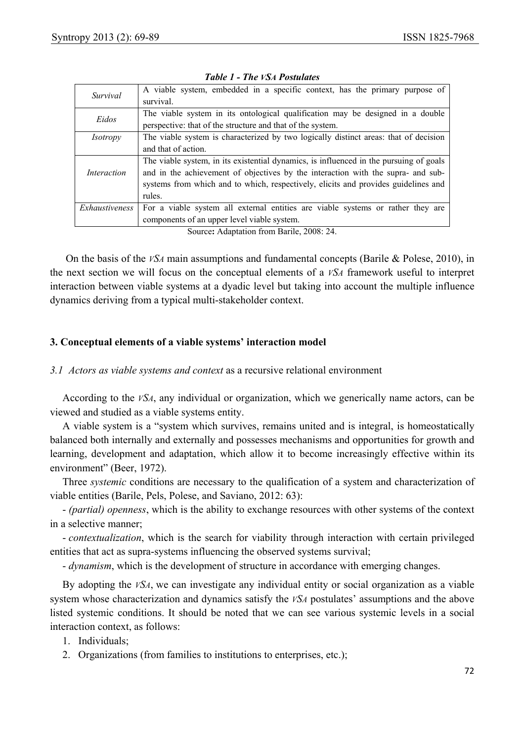| Survival           | A viable system, embedded in a specific context, has the primary purpose of<br>survival.                                                                                                                                                                                   |  |  |  |  |  |
|--------------------|----------------------------------------------------------------------------------------------------------------------------------------------------------------------------------------------------------------------------------------------------------------------------|--|--|--|--|--|
| Eidos              | The viable system in its ontological qualification may be designed in a double<br>perspective: that of the structure and that of the system.                                                                                                                               |  |  |  |  |  |
| <i>Isotropy</i>    | The viable system is characterized by two logically distinct areas: that of decision<br>and that of action.                                                                                                                                                                |  |  |  |  |  |
| <i>Interaction</i> | The viable system, in its existential dynamics, is influenced in the pursuing of goals<br>and in the achievement of objectives by the interaction with the supra- and sub-<br>systems from which and to which, respectively, elicits and provides guidelines and<br>rules. |  |  |  |  |  |
| Exhaustiveness     | For a viable system all external entities are viable systems or rather they are<br>components of an upper level viable system.                                                                                                                                             |  |  |  |  |  |

|  |  | <b>Table 1 - The VSA Postulates</b> |
|--|--|-------------------------------------|
|  |  |                                     |

Source**:** Adaptation from Barile, 2008: 24.

On the basis of the *VSA* main assumptions and fundamental concepts (Barile & Polese, 2010), in the next section we will focus on the conceptual elements of a *VSA* framework useful to interpret interaction between viable systems at a dyadic level but taking into account the multiple influence dynamics deriving from a typical multi-stakeholder context.

# **3. Conceptual elements of a viable systems' interaction model**

## *3.1 Actors as viable systems and context* as a recursive relational environment

According to the *VSA*, any individual or organization, which we generically name actors, can be viewed and studied as a viable systems entity.

A viable system is a "system which survives, remains united and is integral, is homeostatically balanced both internally and externally and possesses mechanisms and opportunities for growth and learning, development and adaptation, which allow it to become increasingly effective within its environment" (Beer, 1972).

Three *systemic* conditions are necessary to the qualification of a system and characterization of viable entities (Barile, Pels, Polese, and Saviano, 2012: 63):

- *(partial) openness*, which is the ability to exchange resources with other systems of the context in a selective manner;

- *contextualization*, which is the search for viability through interaction with certain privileged entities that act as supra-systems influencing the observed systems survival;

- *dynamism*, which is the development of structure in accordance with emerging changes.

By adopting the *VSA*, we can investigate any individual entity or social organization as a viable system whose characterization and dynamics satisfy the *VSA* postulates' assumptions and the above listed systemic conditions. It should be noted that we can see various systemic levels in a social interaction context, as follows:

1. Individuals;

2. Organizations (from families to institutions to enterprises, etc.);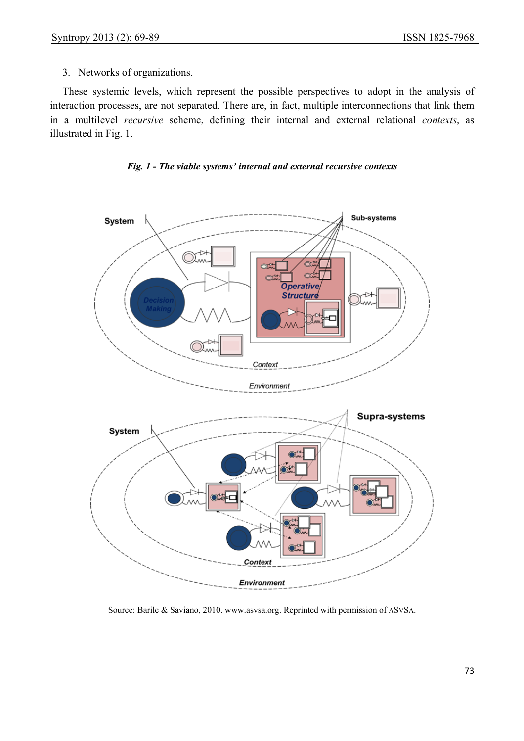# 3. Networks of organizations.

These systemic levels, which represent the possible perspectives to adopt in the analysis of interaction processes, are not separated. There are, in fact, multiple interconnections that link them in a multilevel *recursive* scheme, defining their internal and external relational *contexts*, as illustrated in Fig. 1.





Source: Barile & Saviano, 2010. www.asvsa.org. Reprinted with permission of ASVSA.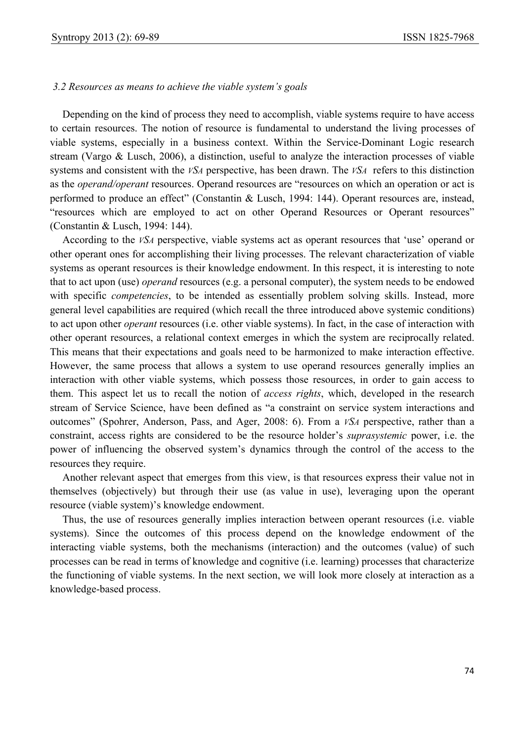#### *3.2 Resources as means to achieve the viable system's goals*

Depending on the kind of process they need to accomplish, viable systems require to have access to certain resources. The notion of resource is fundamental to understand the living processes of viable systems, especially in a business context. Within the Service-Dominant Logic research stream (Vargo & Lusch, 2006), a distinction, useful to analyze the interaction processes of viable systems and consistent with the *VSA* perspective, has been drawn. The *VSA* refers to this distinction as the *operand/operant* resources. Operand resources are "resources on which an operation or act is performed to produce an effect" (Constantin & Lusch, 1994: 144). Operant resources are, instead, "resources which are employed to act on other Operand Resources or Operant resources" (Constantin & Lusch, 1994: 144).

According to the *VSA* perspective, viable systems act as operant resources that 'use' operand or other operant ones for accomplishing their living processes. The relevant characterization of viable systems as operant resources is their knowledge endowment. In this respect, it is interesting to note that to act upon (use) *operand* resources (e.g. a personal computer), the system needs to be endowed with specific *competencies*, to be intended as essentially problem solving skills. Instead, more general level capabilities are required (which recall the three introduced above systemic conditions) to act upon other *operant* resources (i.e. other viable systems). In fact, in the case of interaction with other operant resources, a relational context emerges in which the system are reciprocally related. This means that their expectations and goals need to be harmonized to make interaction effective. However, the same process that allows a system to use operand resources generally implies an interaction with other viable systems, which possess those resources, in order to gain access to them. This aspect let us to recall the notion of *access rights*, which, developed in the research stream of Service Science, have been defined as "a constraint on service system interactions and outcomes" (Spohrer, Anderson, Pass, and Ager, 2008: 6). From a *VSA* perspective, rather than a constraint, access rights are considered to be the resource holder's *suprasystemic* power, i.e. the power of influencing the observed system's dynamics through the control of the access to the resources they require.

Another relevant aspect that emerges from this view, is that resources express their value not in themselves (objectively) but through their use (as value in use), leveraging upon the operant resource (viable system)'s knowledge endowment.

Thus, the use of resources generally implies interaction between operant resources (i.e. viable systems). Since the outcomes of this process depend on the knowledge endowment of the interacting viable systems, both the mechanisms (interaction) and the outcomes (value) of such processes can be read in terms of knowledge and cognitive (i.e. learning) processes that characterize the functioning of viable systems. In the next section, we will look more closely at interaction as a knowledge-based process.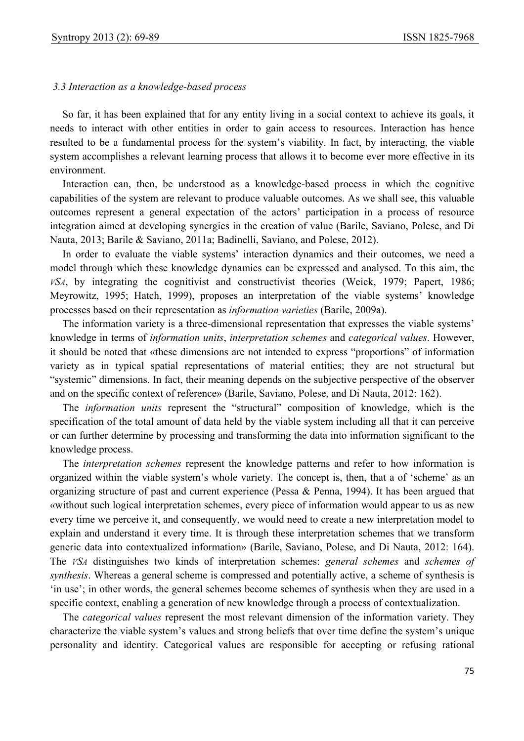## *3.3 Interaction as a knowledge-based process*

So far, it has been explained that for any entity living in a social context to achieve its goals, it needs to interact with other entities in order to gain access to resources. Interaction has hence resulted to be a fundamental process for the system's viability. In fact, by interacting, the viable system accomplishes a relevant learning process that allows it to become ever more effective in its environment.

Interaction can, then, be understood as a knowledge-based process in which the cognitive capabilities of the system are relevant to produce valuable outcomes. As we shall see, this valuable outcomes represent a general expectation of the actors' participation in a process of resource integration aimed at developing synergies in the creation of value (Barile, Saviano, Polese, and Di Nauta, 2013; Barile & Saviano, 2011a; Badinelli, Saviano, and Polese, 2012).

In order to evaluate the viable systems' interaction dynamics and their outcomes, we need a model through which these knowledge dynamics can be expressed and analysed. To this aim, the *VSA*, by integrating the cognitivist and constructivist theories (Weick, 1979; Papert, 1986; Meyrowitz, 1995; Hatch, 1999), proposes an interpretation of the viable systems' knowledge processes based on their representation as *information varieties* (Barile, 2009a).

The information variety is a three-dimensional representation that expresses the viable systems' knowledge in terms of *information units*, *interpretation schemes* and *categorical values*. However, it should be noted that «these dimensions are not intended to express "proportions" of information variety as in typical spatial representations of material entities; they are not structural but "systemic" dimensions. In fact, their meaning depends on the subjective perspective of the observer and on the specific context of reference» (Barile, Saviano, Polese, and Di Nauta, 2012: 162).

The *information units* represent the "structural" composition of knowledge, which is the specification of the total amount of data held by the viable system including all that it can perceive or can further determine by processing and transforming the data into information significant to the knowledge process.

The *interpretation schemes* represent the knowledge patterns and refer to how information is organized within the viable system's whole variety. The concept is, then, that a of 'scheme' as an organizing structure of past and current experience (Pessa & Penna, 1994). It has been argued that «without such logical interpretation schemes, every piece of information would appear to us as new every time we perceive it, and consequently, we would need to create a new interpretation model to explain and understand it every time. It is through these interpretation schemes that we transform generic data into contextualized information» (Barile, Saviano, Polese, and Di Nauta, 2012: 164). The *VSA* distinguishes two kinds of interpretation schemes: *general schemes* and *schemes of synthesis*. Whereas a general scheme is compressed and potentially active, a scheme of synthesis is 'in use'; in other words, the general schemes become schemes of synthesis when they are used in a specific context, enabling a generation of new knowledge through a process of contextualization.

The *categorical values* represent the most relevant dimension of the information variety. They characterize the viable system's values and strong beliefs that over time define the system's unique personality and identity. Categorical values are responsible for accepting or refusing rational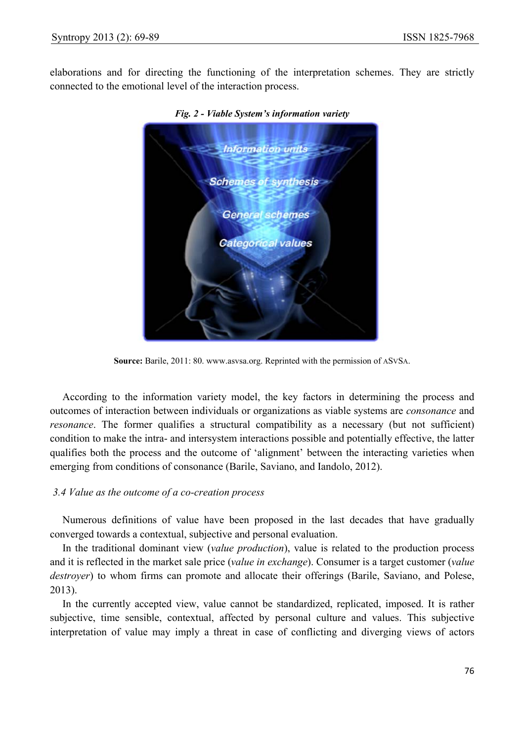elaborations and for directing the functioning of the interpretation schemes. They are strictly connected to the emotional level of the interaction process.



*Fig. 2 - Viable System's information variety* 

**Source:** Barile, 2011: 80. www.asvsa.org. Reprinted with the permission of ASVSA.

According to the information variety model, the key factors in determining the process and outcomes of interaction between individuals or organizations as viable systems are *consonance* and *resonance*. The former qualifies a structural compatibility as a necessary (but not sufficient) condition to make the intra- and intersystem interactions possible and potentially effective, the latter qualifies both the process and the outcome of 'alignment' between the interacting varieties when emerging from conditions of consonance (Barile, Saviano, and Iandolo, 2012).

## *3.4 Value as the outcome of a co-creation process*

Numerous definitions of value have been proposed in the last decades that have gradually converged towards a contextual, subjective and personal evaluation.

In the traditional dominant view (*value production*), value is related to the production process and it is reflected in the market sale price (*value in exchange*). Consumer is a target customer (*value destroyer*) to whom firms can promote and allocate their offerings (Barile, Saviano, and Polese, 2013).

In the currently accepted view, value cannot be standardized, replicated, imposed. It is rather subjective, time sensible, contextual, affected by personal culture and values. This subjective interpretation of value may imply a threat in case of conflicting and diverging views of actors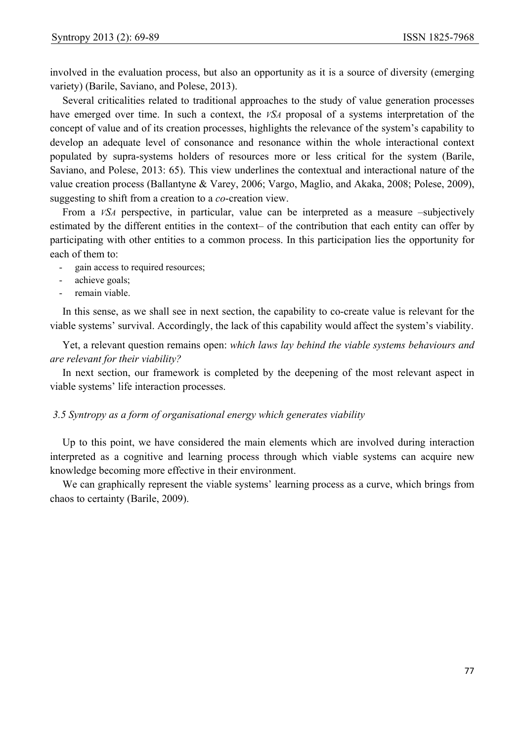involved in the evaluation process, but also an opportunity as it is a source of diversity (emerging variety) (Barile, Saviano, and Polese, 2013).

Several criticalities related to traditional approaches to the study of value generation processes have emerged over time. In such a context, the *VSA* proposal of a systems interpretation of the concept of value and of its creation processes, highlights the relevance of the system's capability to develop an adequate level of consonance and resonance within the whole interactional context populated by supra-systems holders of resources more or less critical for the system (Barile, Saviano, and Polese, 2013: 65). This view underlines the contextual and interactional nature of the value creation process (Ballantyne & Varey, 2006; Vargo, Maglio, and Akaka, 2008; Polese, 2009), suggesting to shift from a creation to a *co*-creation view.

From a *VSA* perspective, in particular, value can be interpreted as a measure –subjectively estimated by the different entities in the context– of the contribution that each entity can offer by participating with other entities to a common process. In this participation lies the opportunity for each of them to:

- gain access to required resources;
- achieve goals;
- remain viable.

In this sense, as we shall see in next section, the capability to co-create value is relevant for the viable systems' survival. Accordingly, the lack of this capability would affect the system's viability.

Yet, a relevant question remains open: *which laws lay behind the viable systems behaviours and are relevant for their viability?* 

In next section, our framework is completed by the deepening of the most relevant aspect in viable systems' life interaction processes.

#### *3.5 Syntropy as a form of organisational energy which generates viability*

Up to this point, we have considered the main elements which are involved during interaction interpreted as a cognitive and learning process through which viable systems can acquire new knowledge becoming more effective in their environment.

We can graphically represent the viable systems' learning process as a curve, which brings from chaos to certainty (Barile, 2009).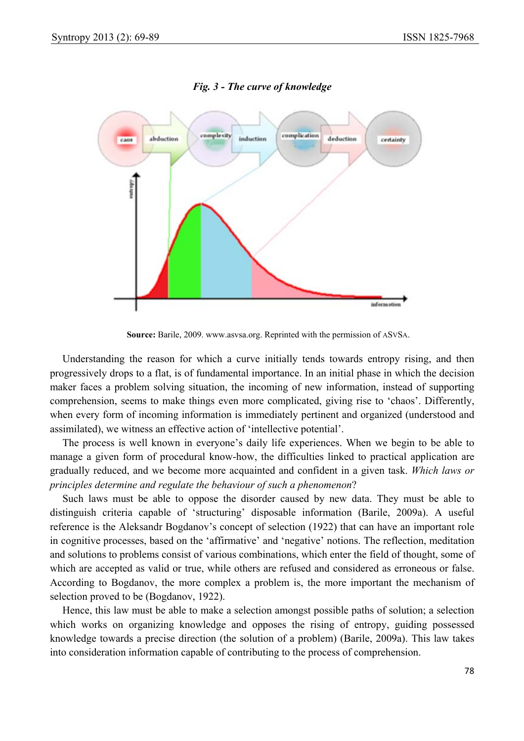

*Fig. 3 - The curve of knowledge* 

**Source:** Barile, 2009. www.asvsa.org. Reprinted with the permission of ASVSA.

Understanding the reason for which a curve initially tends towards entropy rising, and then progressively drops to a flat, is of fundamental importance. In an initial phase in which the decision maker faces a problem solving situation, the incoming of new information, instead of supporting comprehension, seems to make things even more complicated, giving rise to 'chaos'. Differently, when every form of incoming information is immediately pertinent and organized (understood and assimilated), we witness an effective action of 'intellective potential'.

The process is well known in everyone's daily life experiences. When we begin to be able to manage a given form of procedural know-how, the difficulties linked to practical application are gradually reduced, and we become more acquainted and confident in a given task. *Which laws or principles determine and regulate the behaviour of such a phenomenon*?

Such laws must be able to oppose the disorder caused by new data. They must be able to distinguish criteria capable of 'structuring' disposable information (Barile, 2009a). A useful reference is the Aleksandr Bogdanov's concept of selection (1922) that can have an important role in cognitive processes, based on the 'affirmative' and 'negative' notions. The reflection, meditation and solutions to problems consist of various combinations, which enter the field of thought, some of which are accepted as valid or true, while others are refused and considered as erroneous or false. According to Bogdanov, the more complex a problem is, the more important the mechanism of selection proved to be (Bogdanov, 1922).

Hence, this law must be able to make a selection amongst possible paths of solution; a selection which works on organizing knowledge and opposes the rising of entropy, guiding possessed knowledge towards a precise direction (the solution of a problem) (Barile, 2009a). This law takes into consideration information capable of contributing to the process of comprehension.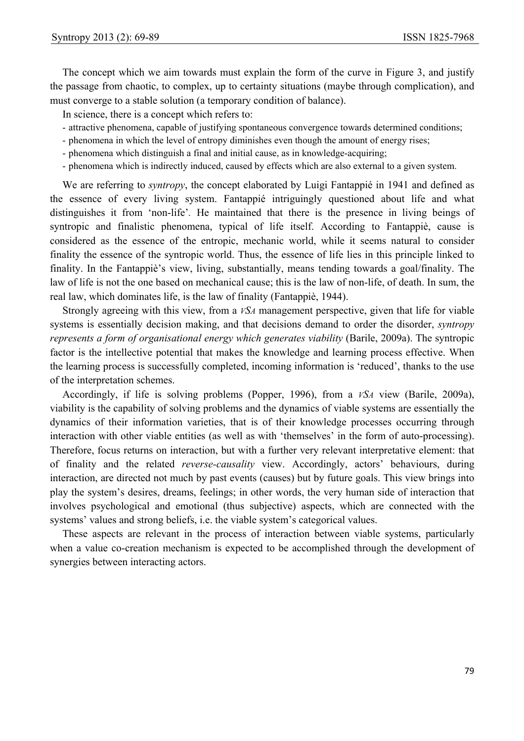The concept which we aim towards must explain the form of the curve in Figure 3, and justify the passage from chaotic, to complex, up to certainty situations (maybe through complication), and must converge to a stable solution (a temporary condition of balance).

In science, there is a concept which refers to:

- attractive phenomena, capable of justifying spontaneous convergence towards determined conditions;
- phenomena in which the level of entropy diminishes even though the amount of energy rises;
- phenomena which distinguish a final and initial cause, as in knowledge-acquiring;
- phenomena which is indirectly induced, caused by effects which are also external to a given system.

We are referring to *syntropy*, the concept elaborated by Luigi Fantappié in 1941 and defined as the essence of every living system. Fantappié intriguingly questioned about life and what distinguishes it from 'non-life'*.* He maintained that there is the presence in living beings of syntropic and finalistic phenomena, typical of life itself. According to Fantappiè, cause is considered as the essence of the entropic, mechanic world, while it seems natural to consider finality the essence of the syntropic world. Thus, the essence of life lies in this principle linked to finality. In the Fantappiè's view, living, substantially, means tending towards a goal/finality. The law of life is not the one based on mechanical cause; this is the law of non-life, of death. In sum, the real law, which dominates life, is the law of finality (Fantappiè, 1944).

Strongly agreeing with this view, from a *VSA* management perspective, given that life for viable systems is essentially decision making, and that decisions demand to order the disorder, *syntropy represents a form of organisational energy which generates viability* (Barile, 2009a). The syntropic factor is the intellective potential that makes the knowledge and learning process effective. When the learning process is successfully completed, incoming information is 'reduced', thanks to the use of the interpretation schemes.

Accordingly, if life is solving problems (Popper, 1996), from a *VSA* view (Barile, 2009a), viability is the capability of solving problems and the dynamics of viable systems are essentially the dynamics of their information varieties, that is of their knowledge processes occurring through interaction with other viable entities (as well as with 'themselves' in the form of auto-processing). Therefore, focus returns on interaction, but with a further very relevant interpretative element: that of finality and the related *reverse-causality* view. Accordingly, actors' behaviours, during interaction, are directed not much by past events (causes) but by future goals. This view brings into play the system's desires, dreams, feelings; in other words, the very human side of interaction that involves psychological and emotional (thus subjective) aspects, which are connected with the systems' values and strong beliefs, i.e. the viable system's categorical values.

These aspects are relevant in the process of interaction between viable systems, particularly when a value co-creation mechanism is expected to be accomplished through the development of synergies between interacting actors.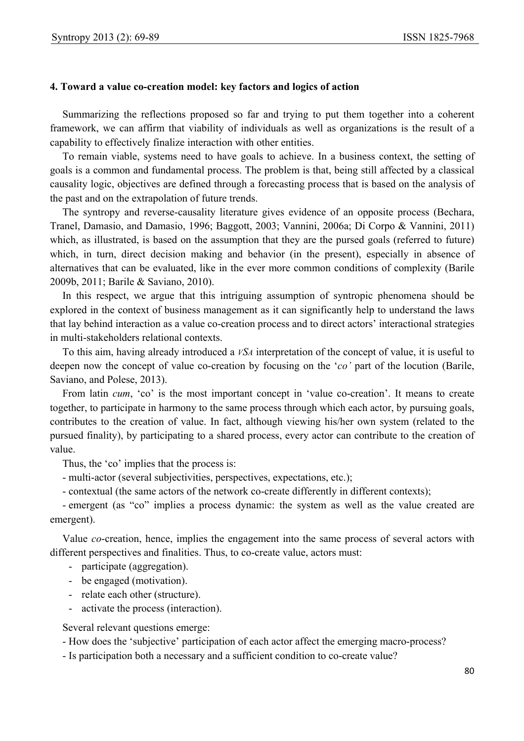#### **4. Toward a value co-creation model: key factors and logics of action**

Summarizing the reflections proposed so far and trying to put them together into a coherent framework, we can affirm that viability of individuals as well as organizations is the result of a capability to effectively finalize interaction with other entities.

To remain viable, systems need to have goals to achieve. In a business context, the setting of goals is a common and fundamental process. The problem is that, being still affected by a classical causality logic, objectives are defined through a forecasting process that is based on the analysis of the past and on the extrapolation of future trends.

The syntropy and reverse-causality literature gives evidence of an opposite process (Bechara, Tranel, Damasio, and Damasio, 1996; Baggott, 2003; Vannini, 2006a; Di Corpo & Vannini, 2011) which, as illustrated, is based on the assumption that they are the pursed goals (referred to future) which, in turn, direct decision making and behavior (in the present), especially in absence of alternatives that can be evaluated, like in the ever more common conditions of complexity (Barile 2009b, 2011; Barile & Saviano, 2010).

In this respect, we argue that this intriguing assumption of syntropic phenomena should be explored in the context of business management as it can significantly help to understand the laws that lay behind interaction as a value co-creation process and to direct actors' interactional strategies in multi-stakeholders relational contexts.

To this aim, having already introduced a *VSA* interpretation of the concept of value, it is useful to deepen now the concept of value co-creation by focusing on the '*co'* part of the locution (Barile, Saviano, and Polese, 2013).

From latin *cum*, 'co' is the most important concept in 'value co-creation'. It means to create together, to participate in harmony to the same process through which each actor, by pursuing goals, contributes to the creation of value. In fact, although viewing his/her own system (related to the pursued finality), by participating to a shared process, every actor can contribute to the creation of value.

Thus, the 'co' implies that the process is:

- multi-actor (several subjectivities, perspectives, expectations, etc.);
- contextual (the same actors of the network co-create differently in different contexts);

- emergent (as "co" implies a process dynamic: the system as well as the value created are emergent).

Value *co*-creation, hence, implies the engagement into the same process of several actors with different perspectives and finalities. Thus, to co-create value, actors must:

- participate (aggregation).
- be engaged (motivation).
- relate each other (structure).
- activate the process (interaction).

Several relevant questions emerge:

- How does the 'subjective' participation of each actor affect the emerging macro-process?

- Is participation both a necessary and a sufficient condition to co-create value?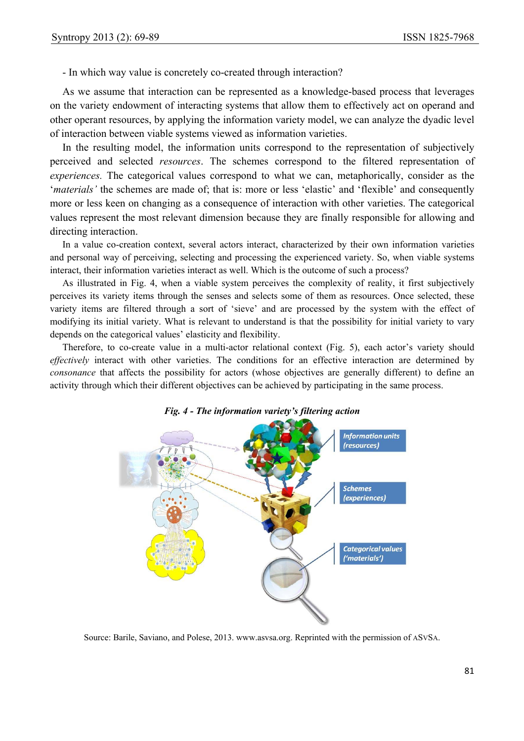- In which way value is concretely co-created through interaction?

As we assume that interaction can be represented as a knowledge-based process that leverages on the variety endowment of interacting systems that allow them to effectively act on operand and other operant resources, by applying the information variety model, we can analyze the dyadic level of interaction between viable systems viewed as information varieties.

In the resulting model, the information units correspond to the representation of subjectively perceived and selected *resources*. The schemes correspond to the filtered representation of *experiences.* The categorical values correspond to what we can, metaphorically, consider as the '*materials'* the schemes are made of; that is: more or less 'elastic' and 'flexible' and consequently more or less keen on changing as a consequence of interaction with other varieties. The categorical values represent the most relevant dimension because they are finally responsible for allowing and directing interaction.

In a value co-creation context, several actors interact, characterized by their own information varieties and personal way of perceiving, selecting and processing the experienced variety. So, when viable systems interact, their information varieties interact as well. Which is the outcome of such a process?

As illustrated in Fig. 4, when a viable system perceives the complexity of reality, it first subjectively perceives its variety items through the senses and selects some of them as resources. Once selected, these variety items are filtered through a sort of 'sieve' and are processed by the system with the effect of modifying its initial variety. What is relevant to understand is that the possibility for initial variety to vary depends on the categorical values' elasticity and flexibility.

Therefore, to co-create value in a multi-actor relational context (Fig. 5), each actor's variety should *effectively* interact with other varieties. The conditions for an effective interaction are determined by *consonance* that affects the possibility for actors (whose objectives are generally different) to define an activity through which their different objectives can be achieved by participating in the same process.



*Fig. 4 - The information variety's filtering action* 

Source: Barile, Saviano, and Polese, 2013. www.asvsa.org. Reprinted with the permission of ASVSA.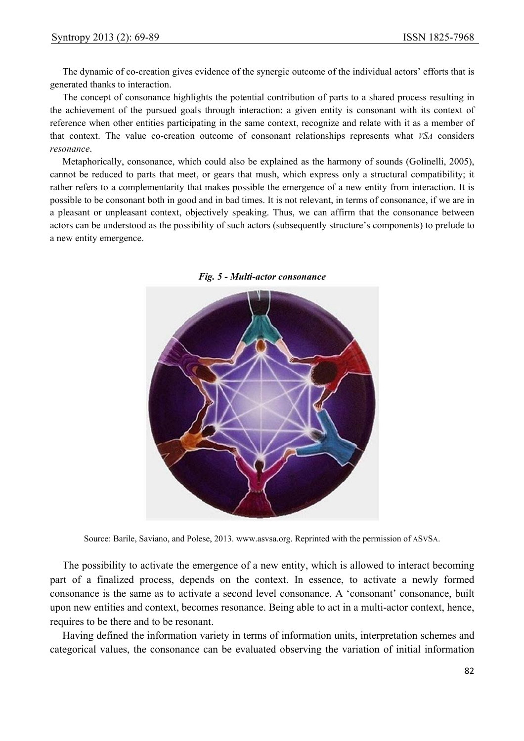The dynamic of co-creation gives evidence of the synergic outcome of the individual actors' efforts that is generated thanks to interaction.

The concept of consonance highlights the potential contribution of parts to a shared process resulting in the achievement of the pursued goals through interaction: a given entity is consonant with its context of reference when other entities participating in the same context, recognize and relate with it as a member of that context. The value co-creation outcome of consonant relationships represents what *VSA* considers *resonance*.

Metaphorically, consonance, which could also be explained as the harmony of sounds (Golinelli, 2005), cannot be reduced to parts that meet, or gears that mush, which express only a structural compatibility; it rather refers to a complementarity that makes possible the emergence of a new entity from interaction. It is possible to be consonant both in good and in bad times. It is not relevant, in terms of consonance, if we are in a pleasant or unpleasant context, objectively speaking. Thus, we can affirm that the consonance between actors can be understood as the possibility of such actors (subsequently structure's components) to prelude to a new entity emergence.



*Fig. 5 - Multi-actor consonance* 

Source: Barile, Saviano, and Polese, 2013. www.asvsa.org. Reprinted with the permission of ASVSA.

The possibility to activate the emergence of a new entity, which is allowed to interact becoming part of a finalized process, depends on the context. In essence, to activate a newly formed consonance is the same as to activate a second level consonance. A 'consonant' consonance, built upon new entities and context, becomes resonance. Being able to act in a multi-actor context, hence, requires to be there and to be resonant.

Having defined the information variety in terms of information units, interpretation schemes and categorical values, the consonance can be evaluated observing the variation of initial information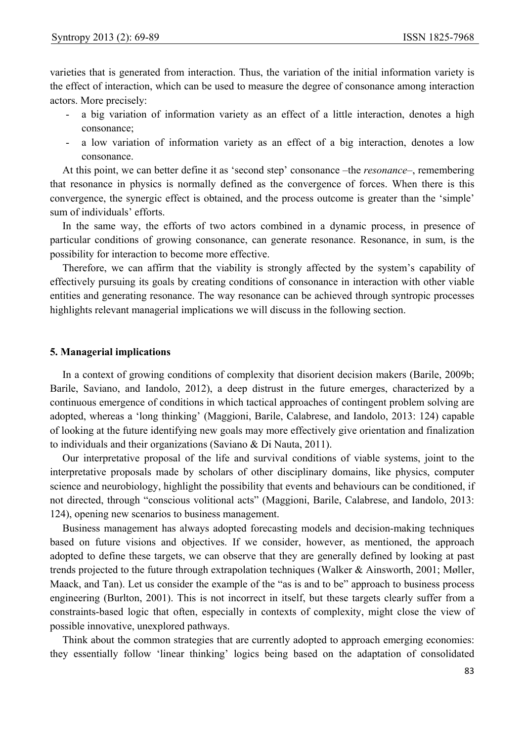varieties that is generated from interaction. Thus, the variation of the initial information variety is the effect of interaction, which can be used to measure the degree of consonance among interaction actors. More precisely:

- a big variation of information variety as an effect of a little interaction, denotes a high consonance;
- a low variation of information variety as an effect of a big interaction, denotes a low consonance.

At this point, we can better define it as 'second step' consonance –the *resonance*–, remembering that resonance in physics is normally defined as the convergence of forces. When there is this convergence, the synergic effect is obtained, and the process outcome is greater than the 'simple' sum of individuals' efforts.

In the same way, the efforts of two actors combined in a dynamic process, in presence of particular conditions of growing consonance, can generate resonance. Resonance, in sum, is the possibility for interaction to become more effective.

Therefore, we can affirm that the viability is strongly affected by the system's capability of effectively pursuing its goals by creating conditions of consonance in interaction with other viable entities and generating resonance. The way resonance can be achieved through syntropic processes highlights relevant managerial implications we will discuss in the following section.

#### **5. Managerial implications**

In a context of growing conditions of complexity that disorient decision makers (Barile, 2009b; Barile, Saviano, and Iandolo, 2012), a deep distrust in the future emerges, characterized by a continuous emergence of conditions in which tactical approaches of contingent problem solving are adopted, whereas a 'long thinking' (Maggioni, Barile, Calabrese, and Iandolo, 2013: 124) capable of looking at the future identifying new goals may more effectively give orientation and finalization to individuals and their organizations (Saviano & Di Nauta, 2011).

Our interpretative proposal of the life and survival conditions of viable systems, joint to the interpretative proposals made by scholars of other disciplinary domains, like physics, computer science and neurobiology, highlight the possibility that events and behaviours can be conditioned, if not directed, through "conscious volitional acts" (Maggioni, Barile, Calabrese, and Iandolo, 2013: 124), opening new scenarios to business management.

Business management has always adopted forecasting models and decision-making techniques based on future visions and objectives. If we consider, however, as mentioned, the approach adopted to define these targets, we can observe that they are generally defined by looking at past trends projected to the future through extrapolation techniques (Walker & Ainsworth, 2001; Møller, Maack, and Tan). Let us consider the example of the "as is and to be" approach to business process engineering (Burlton, 2001). This is not incorrect in itself, but these targets clearly suffer from a constraints-based logic that often, especially in contexts of complexity, might close the view of possible innovative, unexplored pathways.

Think about the common strategies that are currently adopted to approach emerging economies: they essentially follow 'linear thinking' logics being based on the adaptation of consolidated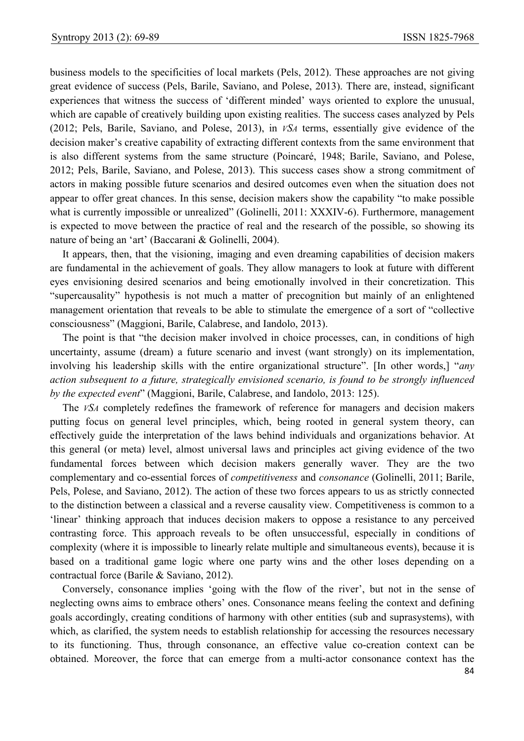business models to the specificities of local markets (Pels, 2012). These approaches are not giving great evidence of success (Pels, Barile, Saviano, and Polese, 2013). There are, instead, significant experiences that witness the success of 'different minded' ways oriented to explore the unusual, which are capable of creatively building upon existing realities. The success cases analyzed by Pels (2012; Pels, Barile, Saviano, and Polese, 2013), in *VSA* terms, essentially give evidence of the decision maker's creative capability of extracting different contexts from the same environment that is also different systems from the same structure (Poincaré, 1948; Barile, Saviano, and Polese, 2012; Pels, Barile, Saviano, and Polese, 2013). This success cases show a strong commitment of actors in making possible future scenarios and desired outcomes even when the situation does not appear to offer great chances. In this sense, decision makers show the capability "to make possible what is currently impossible or unrealized" (Golinelli, 2011: XXXIV-6). Furthermore, management is expected to move between the practice of real and the research of the possible, so showing its nature of being an 'art' (Baccarani & Golinelli, 2004).

It appears, then, that the visioning, imaging and even dreaming capabilities of decision makers are fundamental in the achievement of goals. They allow managers to look at future with different eyes envisioning desired scenarios and being emotionally involved in their concretization. This "supercausality" hypothesis is not much a matter of precognition but mainly of an enlightened management orientation that reveals to be able to stimulate the emergence of a sort of "collective consciousness" (Maggioni, Barile, Calabrese, and Iandolo, 2013).

The point is that "the decision maker involved in choice processes, can, in conditions of high uncertainty, assume (dream) a future scenario and invest (want strongly) on its implementation, involving his leadership skills with the entire organizational structure". [In other words,] "*any action subsequent to a future, strategically envisioned scenario, is found to be strongly influenced by the expected event*" (Maggioni, Barile, Calabrese, and Iandolo, 2013: 125).

The *VSA* completely redefines the framework of reference for managers and decision makers putting focus on general level principles, which, being rooted in general system theory, can effectively guide the interpretation of the laws behind individuals and organizations behavior. At this general (or meta) level, almost universal laws and principles act giving evidence of the two fundamental forces between which decision makers generally waver. They are the two complementary and co-essential forces of *competitiveness* and *consonance* (Golinelli, 2011; Barile, Pels, Polese, and Saviano, 2012). The action of these two forces appears to us as strictly connected to the distinction between a classical and a reverse causality view. Competitiveness is common to a 'linear' thinking approach that induces decision makers to oppose a resistance to any perceived contrasting force. This approach reveals to be often unsuccessful, especially in conditions of complexity (where it is impossible to linearly relate multiple and simultaneous events), because it is based on a traditional game logic where one party wins and the other loses depending on a contractual force (Barile & Saviano, 2012).

Conversely, consonance implies 'going with the flow of the river', but not in the sense of neglecting owns aims to embrace others' ones. Consonance means feeling the context and defining goals accordingly, creating conditions of harmony with other entities (sub and suprasystems), with which, as clarified, the system needs to establish relationship for accessing the resources necessary to its functioning. Thus, through consonance, an effective value co-creation context can be obtained. Moreover, the force that can emerge from a multi-actor consonance context has the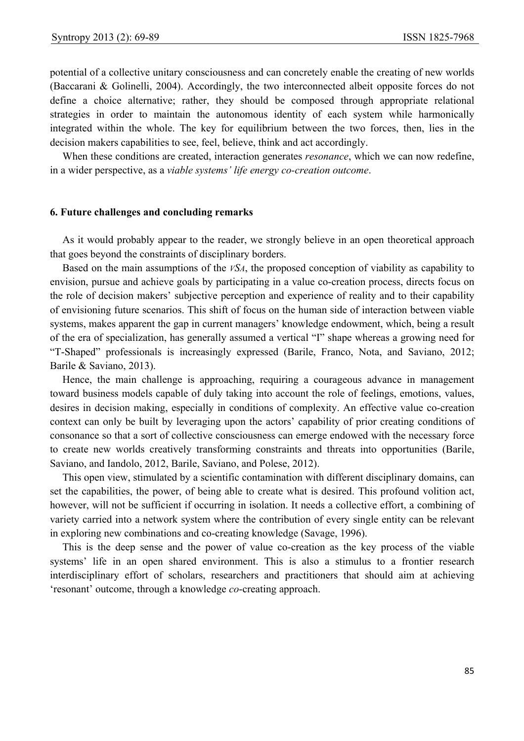potential of a collective unitary consciousness and can concretely enable the creating of new worlds (Baccarani & Golinelli, 2004). Accordingly, the two interconnected albeit opposite forces do not define a choice alternative; rather, they should be composed through appropriate relational strategies in order to maintain the autonomous identity of each system while harmonically integrated within the whole. The key for equilibrium between the two forces, then, lies in the decision makers capabilities to see, feel, believe, think and act accordingly.

When these conditions are created, interaction generates *resonance*, which we can now redefine, in a wider perspective, as a *viable systems' life energy co-creation outcome*.

#### **6. Future challenges and concluding remarks**

As it would probably appear to the reader, we strongly believe in an open theoretical approach that goes beyond the constraints of disciplinary borders.

Based on the main assumptions of the *VSA*, the proposed conception of viability as capability to envision, pursue and achieve goals by participating in a value co-creation process, directs focus on the role of decision makers' subjective perception and experience of reality and to their capability of envisioning future scenarios. This shift of focus on the human side of interaction between viable systems, makes apparent the gap in current managers' knowledge endowment, which, being a result of the era of specialization, has generally assumed a vertical "I" shape whereas a growing need for "T-Shaped" professionals is increasingly expressed (Barile, Franco, Nota, and Saviano, 2012; Barile & Saviano, 2013).

Hence, the main challenge is approaching, requiring a courageous advance in management toward business models capable of duly taking into account the role of feelings, emotions, values, desires in decision making, especially in conditions of complexity. An effective value co-creation context can only be built by leveraging upon the actors' capability of prior creating conditions of consonance so that a sort of collective consciousness can emerge endowed with the necessary force to create new worlds creatively transforming constraints and threats into opportunities (Barile, Saviano, and Iandolo, 2012, Barile, Saviano, and Polese, 2012).

This open view, stimulated by a scientific contamination with different disciplinary domains, can set the capabilities, the power, of being able to create what is desired. This profound volition act, however, will not be sufficient if occurring in isolation. It needs a collective effort, a combining of variety carried into a network system where the contribution of every single entity can be relevant in exploring new combinations and co-creating knowledge (Savage, 1996).

This is the deep sense and the power of value co-creation as the key process of the viable systems' life in an open shared environment. This is also a stimulus to a frontier research interdisciplinary effort of scholars, researchers and practitioners that should aim at achieving 'resonant' outcome, through a knowledge *co*-creating approach.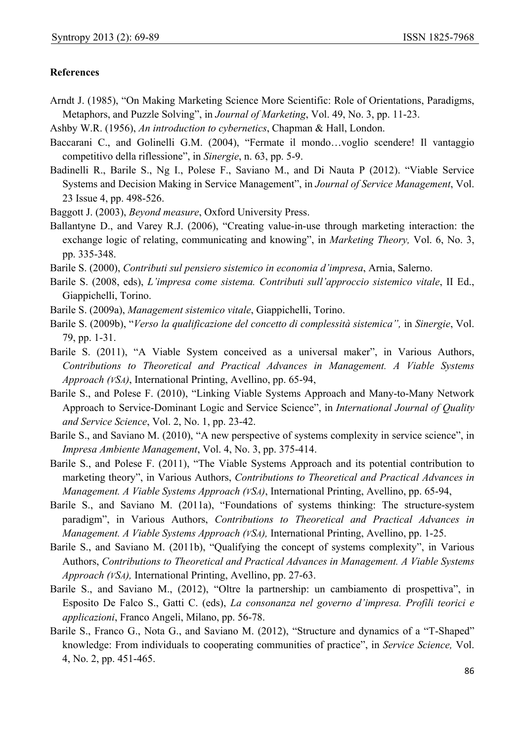## **References**

- Arndt J. (1985), "On Making Marketing Science More Scientific: Role of Orientations, Paradigms, Metaphors, and Puzzle Solving", in *Journal of Marketing*, Vol. 49, No. 3, pp. 11-23.
- Ashby W.R. (1956), *An introduction to cybernetics*, Chapman & Hall, London.
- Baccarani C., and Golinelli G.M. (2004), "Fermate il mondo...voglio scendere! Il vantaggio competitivo della riflessione", in *Sinergie*, n. 63, pp. 5-9.
- Badinelli R., Barile S., Ng I., Polese F., Saviano M., and Di Nauta P (2012). "Viable Service Systems and Decision Making in Service Management", in *Journal of Service Management*, Vol. 23 Issue 4, pp. 498-526.
- Baggott J. (2003), *Beyond measure*, Oxford University Press.
- Ballantyne D., and Varey R.J. (2006), "Creating value-in-use through marketing interaction: the exchange logic of relating, communicating and knowing", in *Marketing Theory,* Vol. 6, No. 3, pp. 335-348.
- Barile S. (2000), *Contributi sul pensiero sistemico in economia d'impresa*, Arnia, Salerno.
- Barile S. (2008, eds), *L'impresa come sistema. Contributi sull'approccio sistemico vitale*, II Ed., Giappichelli, Torino.
- Barile S. (2009a), *Management sistemico vitale*, Giappichelli, Torino.
- Barile S. (2009b), "*Verso la qualificazione del concetto di complessità sistemica",* in *Sinergie*, Vol. 79, pp. 1-31.
- Barile S. (2011), "A Viable System conceived as a universal maker", in Various Authors, *Contributions to Theoretical and Practical Advances in Management. A Viable Systems Approach (VSA)*, International Printing, Avellino, pp. 65-94,
- Barile S., and Polese F. (2010), "Linking Viable Systems Approach and Many-to-Many Network Approach to Service-Dominant Logic and Service Science", in *International Journal of Quality and Service Science*, Vol. 2, No. 1, pp. 23-42.
- Barile S., and Saviano M. (2010), "A new perspective of systems complexity in service science", in *Impresa Ambiente Management*, Vol. 4, No. 3, pp. 375-414.
- Barile S., and Polese F. (2011), "The Viable Systems Approach and its potential contribution to marketing theory", in Various Authors, *Contributions to Theoretical and Practical Advances in Management. A Viable Systems Approach (VSA)*, International Printing, Avellino, pp. 65-94,
- Barile S., and Saviano M. (2011a), "Foundations of systems thinking: The structure-system paradigm", in Various Authors, *Contributions to Theoretical and Practical Advances in Management. A Viable Systems Approach (VSA),* International Printing, Avellino, pp. 1-25.
- Barile S., and Saviano M. (2011b), "Qualifying the concept of systems complexity", in Various Authors, *Contributions to Theoretical and Practical Advances in Management. A Viable Systems Approach (VSA),* International Printing, Avellino, pp. 27-63.
- Barile S., and Saviano M., (2012), "Oltre la partnership: un cambiamento di prospettiva", in Esposito De Falco S., Gatti C. (eds), *La consonanza nel governo d'impresa. Profili teorici e applicazioni*, Franco Angeli, Milano, pp. 56-78.
- Barile S., Franco G., Nota G., and Saviano M. (2012), "Structure and dynamics of a "T-Shaped" knowledge: From individuals to cooperating communities of practice", in *Service Science,* Vol. 4, No. 2, pp. 451-465.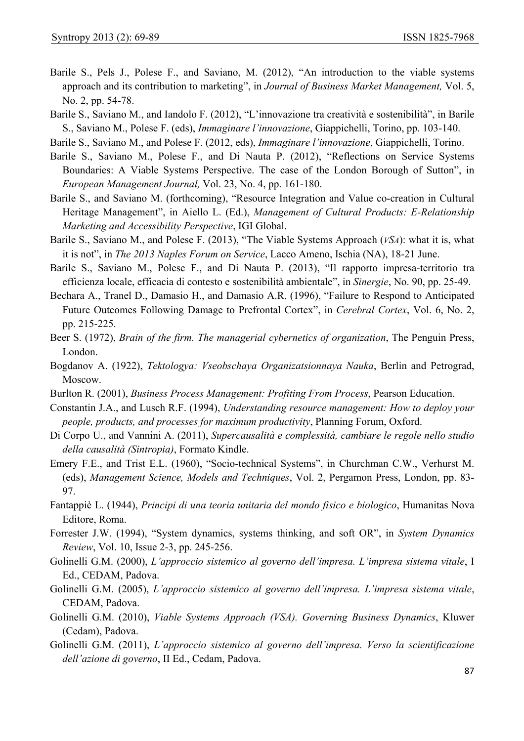- Barile S., Pels J., Polese F., and Saviano, M. (2012), "An introduction to the viable systems approach and its contribution to marketing", in *Journal of Business Market Management,* Vol. 5, No. 2, pp. 54-78.
- Barile S., Saviano M., and Iandolo F. (2012), "L'innovazione tra creatività e sostenibilità", in Barile S., Saviano M., Polese F. (eds), *Immaginare l'innovazione*, Giappichelli, Torino, pp. 103-140.

Barile S., Saviano M., and Polese F. (2012, eds), *Immaginare l'innovazione*, Giappichelli, Torino.

- Barile S., Saviano M., Polese F., and Di Nauta P. (2012), "Reflections on Service Systems Boundaries: A Viable Systems Perspective. The case of the London Borough of Sutton", in *European Management Journal,* Vol. 23, No. 4, pp. 161-180.
- Barile S., and Saviano M. (forthcoming), "Resource Integration and Value co-creation in Cultural Heritage Management", in Aiello L. (Ed.), *Management of Cultural Products: E-Relationship Marketing and Accessibility Perspective*, IGI Global.
- Barile S., Saviano M., and Polese F. (2013), "The Viable Systems Approach (*VSA*): what it is, what it is not", in *The 2013 Naples Forum on Service*, Lacco Ameno, Ischia (NA), 18-21 June.
- Barile S., Saviano M., Polese F., and Di Nauta P. (2013), "Il rapporto impresa-territorio tra efficienza locale, efficacia di contesto e sostenibilità ambientale", in *Sinergie*, No. 90, pp. 25-49.
- Bechara A., Tranel D., Damasio H., and Damasio A.R. (1996), "Failure to Respond to Anticipated Future Outcomes Following Damage to Prefrontal Cortex", in *Cerebral Cortex*, Vol. 6, No. 2, pp. 215-225.
- Beer S. (1972), *Brain of the firm. The managerial cybernetics of organization*, The Penguin Press, London.
- Bogdanov A. (1922), *Tektologya: Vseobschaya Organizatsionnaya Nauka*, Berlin and Petrograd, Moscow.
- Burlton R. (2001), *Business Process Management: Profiting From Process*, Pearson Education.
- Constantin J.A., and Lusch R.F. (1994), *Understanding resource management: How to deploy your people, products, and processes for maximum productivity*, Planning Forum, Oxford.
- Di Corpo U., and Vannini A. (2011), *Supercausalità e complessità, cambiare le regole nello studio della causalità (Sintropia)*, Formato Kindle.
- Emery F.E., and Trist E.L. (1960), "Socio-technical Systems", in Churchman C.W., Verhurst M. (eds), *Management Science, Models and Techniques*, Vol. 2, Pergamon Press, London, pp. 83- 97.
- Fantappiè L. (1944), *Principi di una teoria unitaria del mondo fisico e biologico*, Humanitas Nova Editore, Roma.
- Forrester J.W. (1994), "System dynamics, systems thinking, and soft OR", in *System Dynamics Review*, Vol. 10, Issue 2-3, pp. 245-256.
- Golinelli G.M. (2000), *L'approccio sistemico al governo dell'impresa. L'impresa sistema vitale*, I Ed., CEDAM, Padova.
- Golinelli G.M. (2005), *L'approccio sistemico al governo dell'impresa. L'impresa sistema vitale*, CEDAM, Padova.
- Golinelli G.M. (2010), *Viable Systems Approach (VSA). Governing Business Dynamics*, Kluwer (Cedam), Padova.
- Golinelli G.M. (2011), *L'approccio sistemico al governo dell'impresa. Verso la scientificazione dell'azione di governo*, II Ed., Cedam, Padova.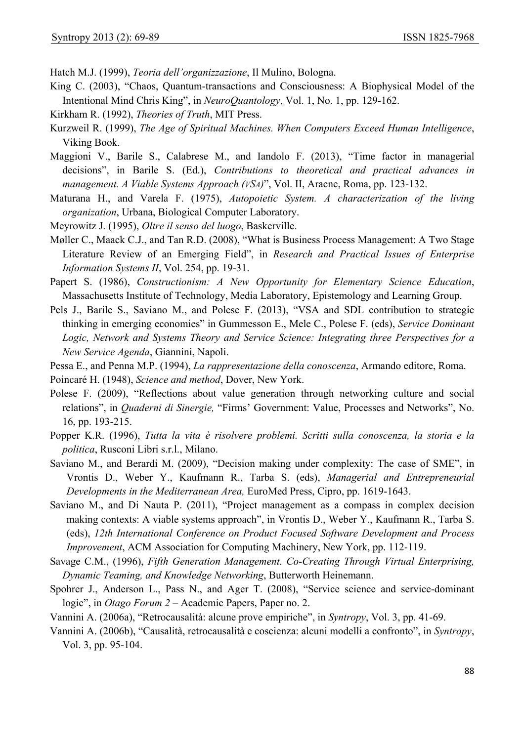Hatch M.J. (1999), *Teoria dell'organizzazione*, Il Mulino, Bologna.

- King C. (2003), "Chaos, Quantum-transactions and Consciousness: A Biophysical Model of the Intentional Mind Chris King", in *NeuroQuantology*, Vol. 1, No. 1, pp. 129-162.
- Kirkham R. (1992), *Theories of Truth*, MIT Press.
- Kurzweil R. (1999), *The Age of Spiritual Machines. When Computers Exceed Human Intelligence*, Viking Book.
- Maggioni V., Barile S., Calabrese M., and Iandolo F. (2013), "Time factor in managerial decisions", in Barile S. (Ed.), *Contributions to theoretical and practical advances in management. A Viable Systems Approach (VSA)*", Vol. II, Aracne, Roma, pp. 123-132.
- Maturana H., and Varela F. (1975), *Autopoietic System. A characterization of the living organization*, Urbana, Biological Computer Laboratory.
- Meyrowitz J. (1995), *Oltre il senso del luogo*, Baskerville.
- Møller C., Maack C.J., and Tan R.D. (2008), "What is Business Process Management: A Two Stage Literature Review of an Emerging Field", in *Research and Practical Issues of Enterprise Information Systems II*, Vol. 254, pp. 19-31.
- Papert S. (1986), *Constructionism: A New Opportunity for Elementary Science Education*, Massachusetts Institute of Technology, Media Laboratory, Epistemology and Learning Group.
- Pels J., Barile S., Saviano M., and Polese F. (2013), "VSA and SDL contribution to strategic thinking in emerging economies" in Gummesson E., Mele C., Polese F. (eds), *Service Dominant Logic, Network and Systems Theory and Service Science: Integrating three Perspectives for a New Service Agenda*, Giannini, Napoli.
- Pessa E., and Penna M.P. (1994), *La rappresentazione della conoscenza*, Armando editore, Roma.
- Poincaré H. (1948), *Science and method*, Dover, New York.
- Polese F. (2009), "Reflections about value generation through networking culture and social relations", in *Quaderni di Sinergie,* "Firms' Government: Value, Processes and Networks", No. 16, pp. 193-215.
- Popper K.R. (1996), *Tutta la vita è risolvere problemi. Scritti sulla conoscenza, la storia e la politica*, Rusconi Libri s.r.l., Milano.
- Saviano M., and Berardi M. (2009), "Decision making under complexity: The case of SME", in Vrontis D., Weber Y., Kaufmann R., Tarba S. (eds), *Managerial and Entrepreneurial Developments in the Mediterranean Area,* EuroMed Press, Cipro, pp. 1619-1643.
- Saviano M., and Di Nauta P. (2011), "Project management as a compass in complex decision making contexts: A viable systems approach", in Vrontis D., Weber Y., Kaufmann R., Tarba S. (eds), *12th International Conference on Product Focused Software Development and Process Improvement*, ACM Association for Computing Machinery, New York, pp. 112-119.
- Savage C.M., (1996), *Fifth Generation Management. Co-Creating Through Virtual Enterprising, Dynamic Teaming, and Knowledge Networking*, Butterworth Heinemann.
- Spohrer J., Anderson L., Pass N., and Ager T. (2008), "Service science and service-dominant logic", in *Otago Forum 2* – Academic Papers, Paper no. 2.
- Vannini A. (2006a), "Retrocausalità: alcune prove empiriche", in *Syntropy*, Vol. 3, pp. 41-69.
- Vannini A. (2006b), "Causalità, retrocausalità e coscienza: alcuni modelli a confronto", in *Syntropy*, Vol. 3, pp. 95-104.